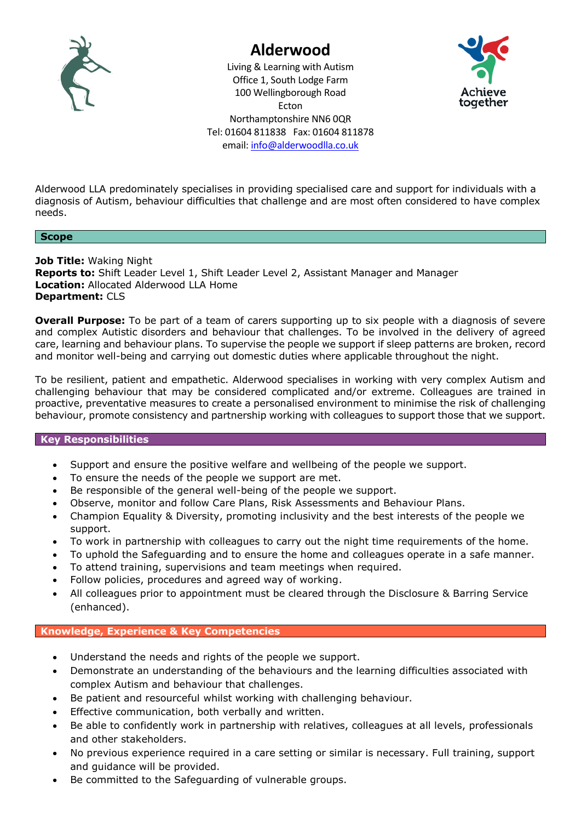

# **Alderwood**

Living & Learning with Autism Office 1, South Lodge Farm 100 Wellingborough Road Ecton Northamptonshire NN6 0QR Tel: 01604 811838 Fax: 01604 811878 email: [info@alderwoodlla.co.uk](mailto:info@alderwoodlla.co.uk)



Alderwood LLA predominately specialises in providing specialised care and support for individuals with a diagnosis of Autism, behaviour difficulties that challenge and are most often considered to have complex needs.

## **Scope**

**Job Title:** Waking Night **Reports to:** Shift Leader Level 1, Shift Leader Level 2, Assistant Manager and Manager **Location:** Allocated Alderwood LLA Home **Department:** CLS

**Overall Purpose:** To be part of a team of carers supporting up to six people with a diagnosis of severe and complex Autistic disorders and behaviour that challenges. To be involved in the delivery of agreed care, learning and behaviour plans. To supervise the people we support if sleep patterns are broken, record and monitor well-being and carrying out domestic duties where applicable throughout the night.

To be resilient, patient and empathetic. Alderwood specialises in working with very complex Autism and challenging behaviour that may be considered complicated and/or extreme. Colleagues are trained in proactive, preventative measures to create a personalised environment to minimise the risk of challenging behaviour, promote consistency and partnership working with colleagues to support those that we support.

## **Key Responsibilities**

- Support and ensure the positive welfare and wellbeing of the people we support.
- To ensure the needs of the people we support are met.
- Be responsible of the general well-being of the people we support.
- Observe, monitor and follow Care Plans, Risk Assessments and Behaviour Plans.
- Champion Equality & Diversity, promoting inclusivity and the best interests of the people we support.
- To work in partnership with colleagues to carry out the night time requirements of the home.
- To uphold the Safeguarding and to ensure the home and colleagues operate in a safe manner.
- To attend training, supervisions and team meetings when required.
- Follow policies, procedures and agreed way of working.
- All colleagues prior to appointment must be cleared through the Disclosure & Barring Service (enhanced).

# **Knowledge, Experience & Key Competencies**

- Understand the needs and rights of the people we support.
- Demonstrate an understanding of the behaviours and the learning difficulties associated with complex Autism and behaviour that challenges.
- Be patient and resourceful whilst working with challenging behaviour.
- Effective communication, both verbally and written.
- Be able to confidently work in partnership with relatives, colleagues at all levels, professionals and other stakeholders.
- No previous experience required in a care setting or similar is necessary. Full training, support and guidance will be provided.
- Be committed to the Safeguarding of vulnerable groups.